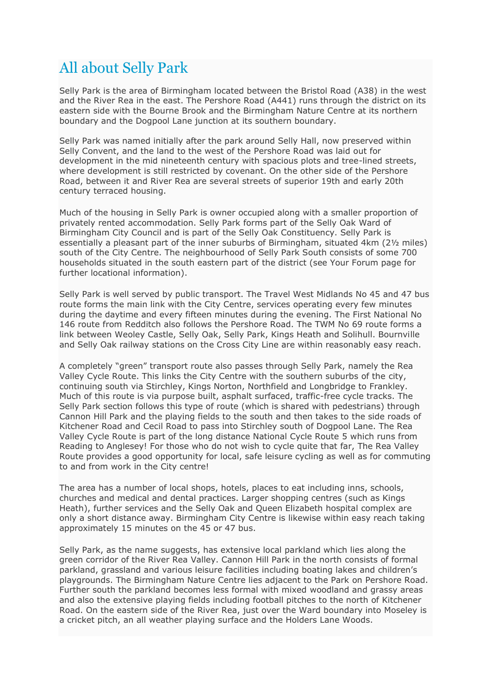## All about Selly Park

Selly Park is the area of Birmingham located between the Bristol Road (A38) in the west and the River Rea in the east. The Pershore Road (A441) runs through the district on its eastern side with the Bourne Brook and the Birmingham Nature Centre at its northern boundary and the Dogpool Lane junction at its southern boundary.

Selly Park was named initially after the park around Selly Hall, now preserved within Selly Convent, and the land to the west of the Pershore Road was laid out for development in the mid nineteenth century with spacious plots and tree-lined streets, where development is still restricted by covenant. On the other side of the Pershore Road, between it and River Rea are several streets of superior 19th and early 20th century terraced housing.

Much of the housing in Selly Park is owner occupied along with a smaller proportion of privately rented accommodation. Selly Park forms part of the Selly Oak Ward of Birmingham City Council and is part of the Selly Oak Constituency. Selly Park is essentially a pleasant part of the inner suburbs of Birmingham, situated 4km (2½ miles) south of the City Centre. The neighbourhood of Selly Park South consists of some 700 households situated in the south eastern part of the district (see Your Forum page for further locational information).

Selly Park is well served by public transport. The Travel West Midlands No 45 and 47 bus route forms the main link with the City Centre, services operating every few minutes during the daytime and every fifteen minutes during the evening. The First National No 146 route from Redditch also follows the Pershore Road. The TWM No 69 route forms a link between Weoley Castle, Selly Oak, Selly Park, Kings Heath and Solihull. Bournville and Selly Oak railway stations on the Cross City Line are within reasonably easy reach.

A completely "green" transport route also passes through Selly Park, namely the Rea Valley Cycle Route. This links the City Centre with the southern suburbs of the city, continuing south via Stirchley, Kings Norton, Northfield and Longbridge to Frankley. Much of this route is via purpose built, asphalt surfaced, traffic-free cycle tracks. The Selly Park section follows this type of route (which is shared with pedestrians) through Cannon Hill Park and the playing fields to the south and then takes to the side roads of Kitchener Road and Cecil Road to pass into Stirchley south of Dogpool Lane. The Rea Valley Cycle Route is part of the long distance National Cycle Route 5 which runs from Reading to Anglesey! For those who do not wish to cycle quite that far, The Rea Valley Route provides a good opportunity for local, safe leisure cycling as well as for commuting to and from work in the City centre!

The area has a number of local shops, hotels, places to eat including inns, schools, churches and medical and dental practices. Larger shopping centres (such as Kings Heath), further services and the Selly Oak and Queen Elizabeth hospital complex are only a short distance away. Birmingham City Centre is likewise within easy reach taking approximately 15 minutes on the 45 or 47 bus.

Selly Park, as the name suggests, has extensive local parkland which lies along the green corridor of the River Rea Valley. Cannon Hill Park in the north consists of formal parkland, grassland and various leisure facilities including boating lakes and children's playgrounds. The Birmingham Nature Centre lies adjacent to the Park on Pershore Road. Further south the parkland becomes less formal with mixed woodland and grassy areas and also the extensive playing fields including football pitches to the north of Kitchener Road. On the eastern side of the River Rea, just over the Ward boundary into Moseley is a cricket pitch, an all weather playing surface and the Holders Lane Woods.